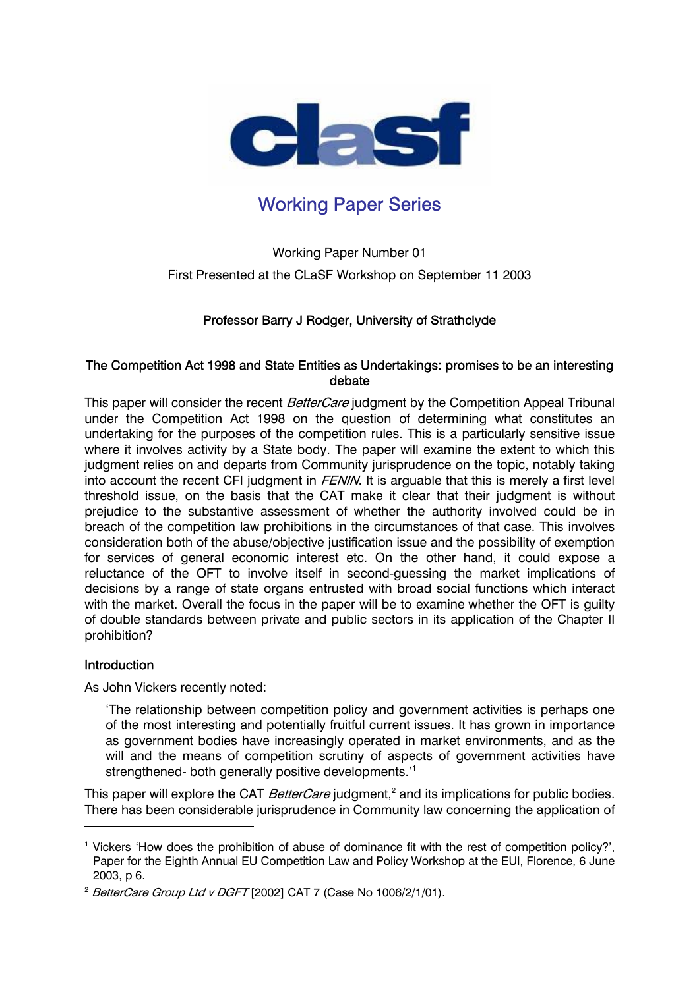

# Working Paper Series

Working Paper Number 01 First Presented at the CLaSF Workshop on September 11 2003

# Professor Barry J Rodger, University of Strathclyde

## The Competition Act 1998 and State Entities as Undertakings: promises to be an interesting debate

This paper will consider the recent BetterCare judgment by the Competition Appeal Tribunal under the Competition Act 1998 on the question of determining what constitutes an undertaking for the purposes of the competition rules. This is a particularly sensitive issue where it involves activity by a State body. The paper will examine the extent to which this judgment relies on and departs from Community jurisprudence on the topic, notably taking into account the recent CFI judgment in  $FENIN$ . It is arguable that this is merely a first level threshold issue, on the basis that the CAT make it clear that their judgment is without prejudice to the substantive assessment of whether the authority involved could be in breach of the competition law prohibitions in the circumstances of that case. This involves consideration both of the abuse/objective justification issue and the possibility of exemption for services of general economic interest etc. On the other hand, it could expose a reluctance of the OFT to involve itself in second-guessing the market implications of decisions by a range of state organs entrusted with broad social functions which interact with the market. Overall the focus in the paper will be to examine whether the OFT is guilty of double standards between private and public sectors in its application of the Chapter II prohibition?

## **Introduction**

 $\overline{a}$ 

As John Vickers recently noted:

'The relationship between competition policy and government activities is perhaps one of the most interesting and potentially fruitful current issues. It has grown in importance as government bodies have increasingly operated in market environments, and as the will and the means of competition scrutiny of aspects of government activities have strengthened- both generally positive developments.'<sup>1</sup>

This paper will explore the CAT *BetterCare* judgment,<sup>2</sup> and its implications for public bodies. There has been considerable jurisprudence in Community law concerning the application of

<sup>&</sup>lt;sup>1</sup> Vickers 'How does the prohibition of abuse of dominance fit with the rest of competition policy?', Paper for the Eighth Annual EU Competition Law and Policy Workshop at the EUI, Florence, 6 June 2003, p 6.

<sup>&</sup>lt;sup>2</sup> BetterCare Group Ltd v DGFT [2002] CAT 7 (Case No 1006/2/1/01).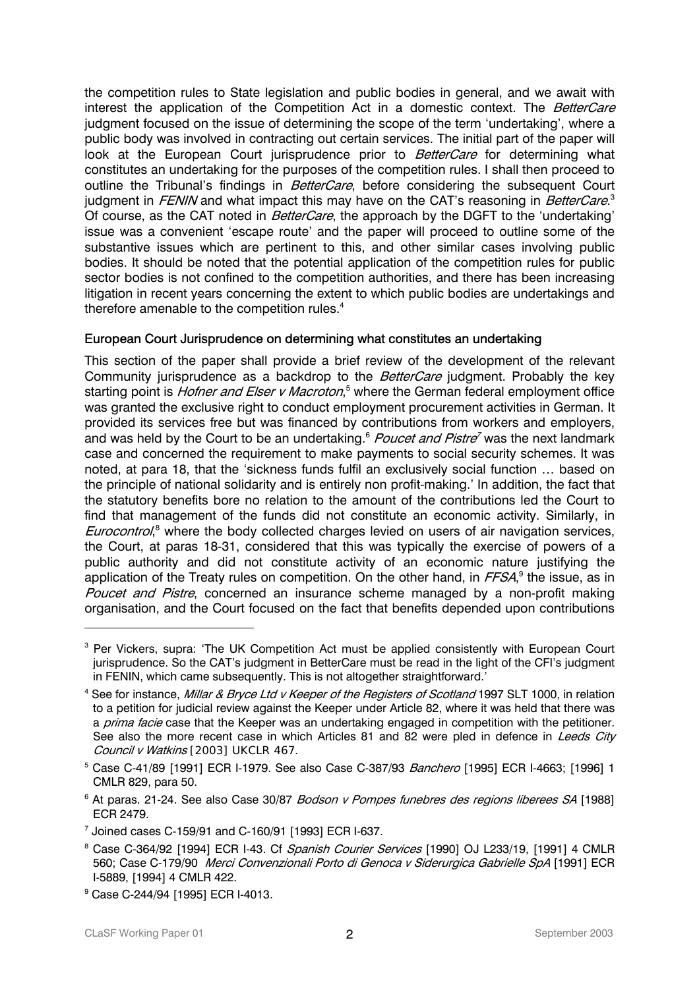the competition rules to State legislation and public bodies in general, and we await with interest the application of the Competition Act in a domestic context. The *BetterCare* judgment focused on the issue of determining the scope of the term 'undertaking', where a public body was involved in contracting out certain services. The initial part of the paper will look at the European Court jurisprudence prior to *BetterCare* for determining what constitutes an undertaking for the purposes of the competition rules. I shall then proceed to outline the Tribunal's findings in BetterCare, before considering the subsequent Court judgment in *FENIN* and what impact this may have on the CAT's reasoning in *BetterCare*.<sup>3</sup> Of course, as the CAT noted in *BetterCare*, the approach by the DGFT to the 'undertaking' issue was a convenient 'escape route' and the paper will proceed to outline some of the substantive issues which are pertinent to this, and other similar cases involving public bodies. It should be noted that the potential application of the competition rules for public sector bodies is not confined to the competition authorities, and there has been increasing litigation in recent years concerning the extent to which public bodies are undertakings and therefore amenable to the competition rules. $4$ 

# European Court Jurisprudence on determining what constitutes an undertaking

This section of the paper shall provide a brief review of the development of the relevant Community jurisprudence as a backdrop to the BetterCare judgment. Probably the key starting point is *Hofner and Elser v Macroton*,<sup>5</sup> where the German federal employment office was granted the exclusive right to conduct employment procurement activities in German. It provided its services free but was financed by contributions from workers and employers, and was held by the Court to be an undertaking.<sup>6</sup> Poucet and Pistre<sup>7</sup> was the next landmark case and concerned the requirement to make payments to social security schemes. It was noted, at para 18, that the 'sickness funds fulfil an exclusively social function … based on the principle of national solidarity and is entirely non profit-making.' In addition, the fact that the statutory benefits bore no relation to the amount of the contributions led the Court to find that management of the funds did not constitute an economic activity. Similarly, in Eurocontrol,<sup>8</sup> where the body collected charges levied on users of air navigation services, the Court, at paras 18-31, considered that this was typically the exercise of powers of a public authority and did not constitute activity of an economic nature justifying the application of the Treaty rules on competition. On the other hand, in *FFSA*,<sup>9</sup> the issue, as in Poucet and Pistre, concerned an insurance scheme managed by a non-profit making organisation, and the Court focused on the fact that benefits depended upon contributions

 $\ddot{\phantom{a}}$ 

<sup>&</sup>lt;sup>3</sup> Per Vickers, supra: 'The UK Competition Act must be applied consistently with European Court jurisprudence. So the CAT's judgment in BetterCare must be read in the light of the CFI's judgment in FENIN, which came subsequently. This is not altogether straightforward.'

<sup>&</sup>lt;sup>4</sup> See for instance, *Millar & Bryce Ltd v Keeper of the Registers of Scotland* 1997 SLT 1000, in relation to a petition for judicial review against the Keeper under Article 82, where it was held that there was a *prima facie* case that the Keeper was an undertaking engaged in competition with the petitioner. See also the more recent case in which Articles 81 and 82 were pled in defence in Leeds City Council v Watkins [2003] UKCLR 467.

<sup>&</sup>lt;sup>5</sup> Case C-41/89 [1991] ECR I-1979. See also Case C-387/93 *Banchero* [1995] ECR I-4663; [1996] 1 CMLR 829, para 50.

<sup>&</sup>lt;sup>6</sup> At paras. 21-24. See also Case 30/87 *Bodson v Pompes funebres des regions liberees SA* [1988] ECR 2479.

<sup>7</sup> Joined cases C-159/91 and C-160/91 [1993] ECR I-637.

<sup>&</sup>lt;sup>8</sup> Case C-364/92 [1994] ECR I-43. Cf *Spanish Courier Services* [1990] OJ L233/19, [1991] 4 CMLR 560; Case C-179/90 Merci Convenzionali Porto di Genoca v Siderurgica Gabrielle SpA [1991] ECR I-5889, [1994] 4 CMLR 422.

<sup>9</sup> Case C-244/94 [1995] ECR I-4013.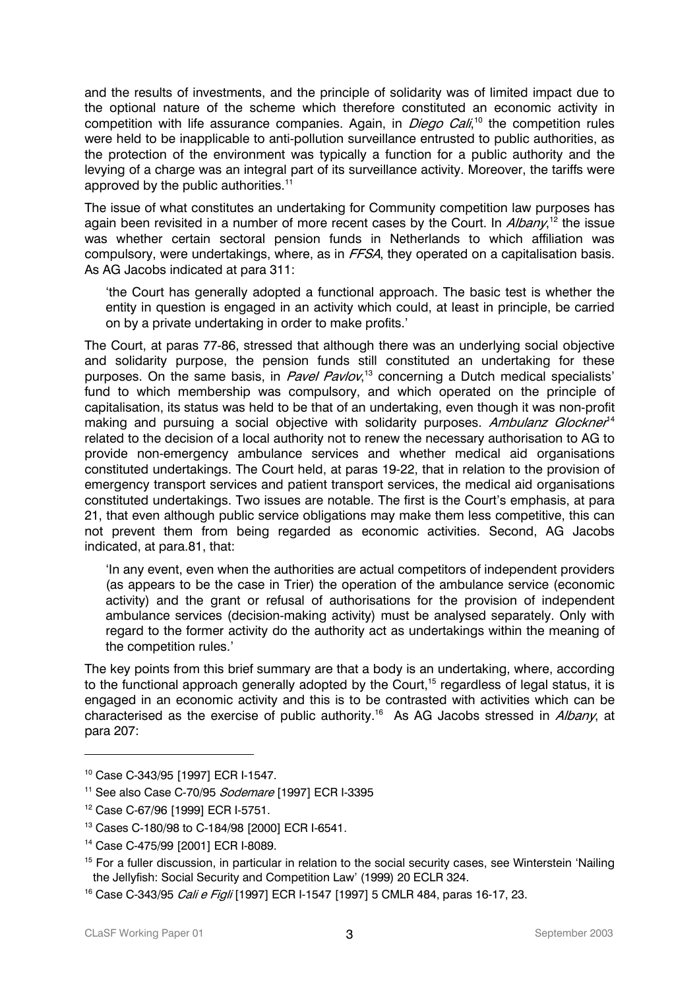and the results of investments, and the principle of solidarity was of limited impact due to the optional nature of the scheme which therefore constituted an economic activity in competition with life assurance companies. Again, in *Diego Cali*,<sup>10</sup> the competition rules were held to be inapplicable to anti-pollution surveillance entrusted to public authorities, as the protection of the environment was typically a function for a public authority and the levying of a charge was an integral part of its surveillance activity. Moreover, the tariffs were approved by the public authorities.<sup>11</sup>

The issue of what constitutes an undertaking for Community competition law purposes has again been revisited in a number of more recent cases by the Court. In *Albany*,<sup>12</sup> the issue was whether certain sectoral pension funds in Netherlands to which affiliation was compulsory, were undertakings, where, as in FFSA, they operated on a capitalisation basis. As AG Jacobs indicated at para 311:

'the Court has generally adopted a functional approach. The basic test is whether the entity in question is engaged in an activity which could, at least in principle, be carried on by a private undertaking in order to make profits.'

The Court, at paras 77-86, stressed that although there was an underlying social objective and solidarity purpose, the pension funds still constituted an undertaking for these purposes. On the same basis, in Pavel Pavlov,<sup>13</sup> concerning a Dutch medical specialists' fund to which membership was compulsory, and which operated on the principle of capitalisation, its status was held to be that of an undertaking, even though it was non-profit making and pursuing a social objective with solidarity purposes. Ambulanz Glockner<sup>14</sup> related to the decision of a local authority not to renew the necessary authorisation to AG to provide non-emergency ambulance services and whether medical aid organisations constituted undertakings. The Court held, at paras 19-22, that in relation to the provision of emergency transport services and patient transport services, the medical aid organisations constituted undertakings. Two issues are notable. The first is the Court's emphasis, at para 21, that even although public service obligations may make them less competitive, this can not prevent them from being regarded as economic activities. Second, AG Jacobs indicated, at para.81, that:

'In any event, even when the authorities are actual competitors of independent providers (as appears to be the case in Trier) the operation of the ambulance service (economic activity) and the grant or refusal of authorisations for the provision of independent ambulance services (decision-making activity) must be analysed separately. Only with regard to the former activity do the authority act as undertakings within the meaning of the competition rules.'

The key points from this brief summary are that a body is an undertaking, where, according to the functional approach generally adopted by the Court,<sup>15</sup> regardless of legal status, it is engaged in an economic activity and this is to be contrasted with activities which can be characterised as the exercise of public authority.<sup>16</sup> As AG Jacobs stressed in Albany, at para 207:

<sup>10</sup> Case C-343/95 [1997] ECR I-1547.

<sup>&</sup>lt;sup>11</sup> See also Case C-70/95 Sodemare [1997] ECR I-3395

<sup>12</sup> Case C-67/96 [1999] ECR I-5751.

<sup>13</sup> Cases C-180/98 to C-184/98 [2000] ECR I-6541.

<sup>14</sup> Case C-475/99 [2001] ECR I-8089.

<sup>&</sup>lt;sup>15</sup> For a fuller discussion, in particular in relation to the social security cases, see Winterstein 'Nailing the Jellyfish: Social Security and Competition Law' (1999) 20 ECLR 324.

<sup>&</sup>lt;sup>16</sup> Case C-343/95 *Cali e Figli* [1997] ECR I-1547 [1997] 5 CMLR 484, paras 16-17, 23.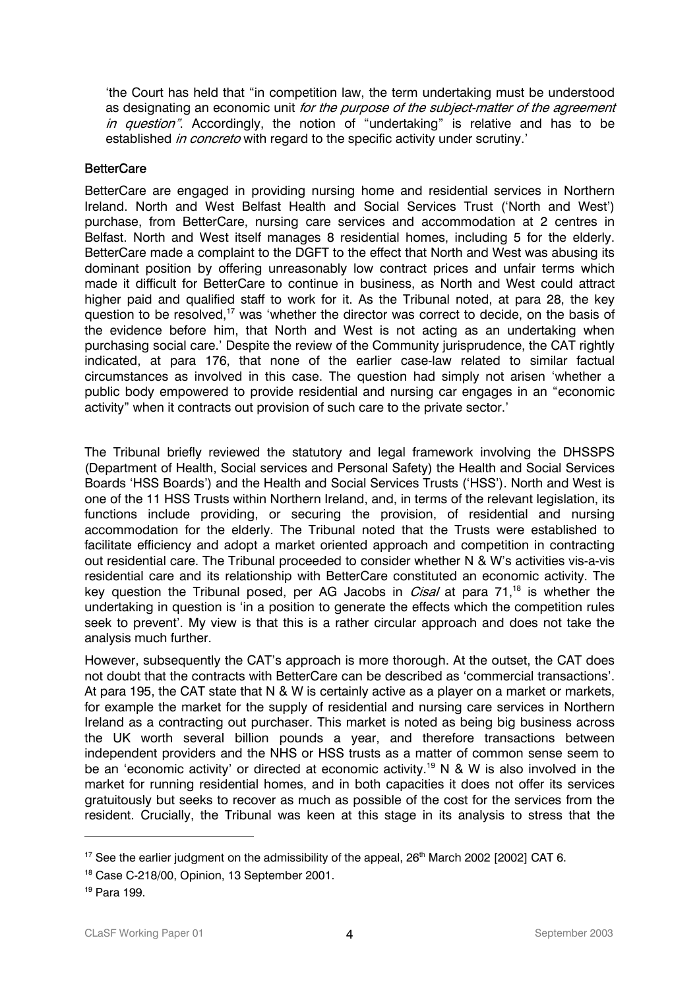'the Court has held that "in competition law, the term undertaking must be understood as designating an economic unit for the purpose of the subject-matter of the agreement in question". Accordingly, the notion of "undertaking" is relative and has to be established *in concreto* with regard to the specific activity under scrutiny.'

#### **BetterCare**

BetterCare are engaged in providing nursing home and residential services in Northern Ireland. North and West Belfast Health and Social Services Trust ('North and West') purchase, from BetterCare, nursing care services and accommodation at 2 centres in Belfast. North and West itself manages 8 residential homes, including 5 for the elderly. BetterCare made a complaint to the DGFT to the effect that North and West was abusing its dominant position by offering unreasonably low contract prices and unfair terms which made it difficult for BetterCare to continue in business, as North and West could attract higher paid and qualified staff to work for it. As the Tribunal noted, at para 28, the key question to be resolved,<sup>17</sup> was 'whether the director was correct to decide, on the basis of the evidence before him, that North and West is not acting as an undertaking when purchasing social care.' Despite the review of the Community jurisprudence, the CAT rightly indicated, at para 176, that none of the earlier case-law related to similar factual circumstances as involved in this case. The question had simply not arisen 'whether a public body empowered to provide residential and nursing car engages in an "economic activity" when it contracts out provision of such care to the private sector.'

The Tribunal briefly reviewed the statutory and legal framework involving the DHSSPS (Department of Health, Social services and Personal Safety) the Health and Social Services Boards 'HSS Boards') and the Health and Social Services Trusts ('HSS'). North and West is one of the 11 HSS Trusts within Northern Ireland, and, in terms of the relevant legislation, its functions include providing, or securing the provision, of residential and nursing accommodation for the elderly. The Tribunal noted that the Trusts were established to facilitate efficiency and adopt a market oriented approach and competition in contracting out residential care. The Tribunal proceeded to consider whether N & W's activities vis-a-vis residential care and its relationship with BetterCare constituted an economic activity. The key question the Tribunal posed, per AG Jacobs in *Cisal* at para 71,<sup>18</sup> is whether the undertaking in question is 'in a position to generate the effects which the competition rules seek to prevent'. My view is that this is a rather circular approach and does not take the analysis much further.

However, subsequently the CAT's approach is more thorough. At the outset, the CAT does not doubt that the contracts with BetterCare can be described as 'commercial transactions'. At para 195, the CAT state that N & W is certainly active as a player on a market or markets, for example the market for the supply of residential and nursing care services in Northern Ireland as a contracting out purchaser. This market is noted as being big business across the UK worth several billion pounds a year, and therefore transactions between independent providers and the NHS or HSS trusts as a matter of common sense seem to be an 'economic activity' or directed at economic activity.<sup>19</sup> N & W is also involved in the market for running residential homes, and in both capacities it does not offer its services gratuitously but seeks to recover as much as possible of the cost for the services from the resident. Crucially, the Tribunal was keen at this stage in its analysis to stress that the

 $17$  See the earlier judgment on the admissibility of the appeal,  $26<sup>th</sup>$  March 2002 [2002] CAT 6.

<sup>18</sup> Case C-218/00, Opinion, 13 September 2001.

<sup>19</sup> Para 199.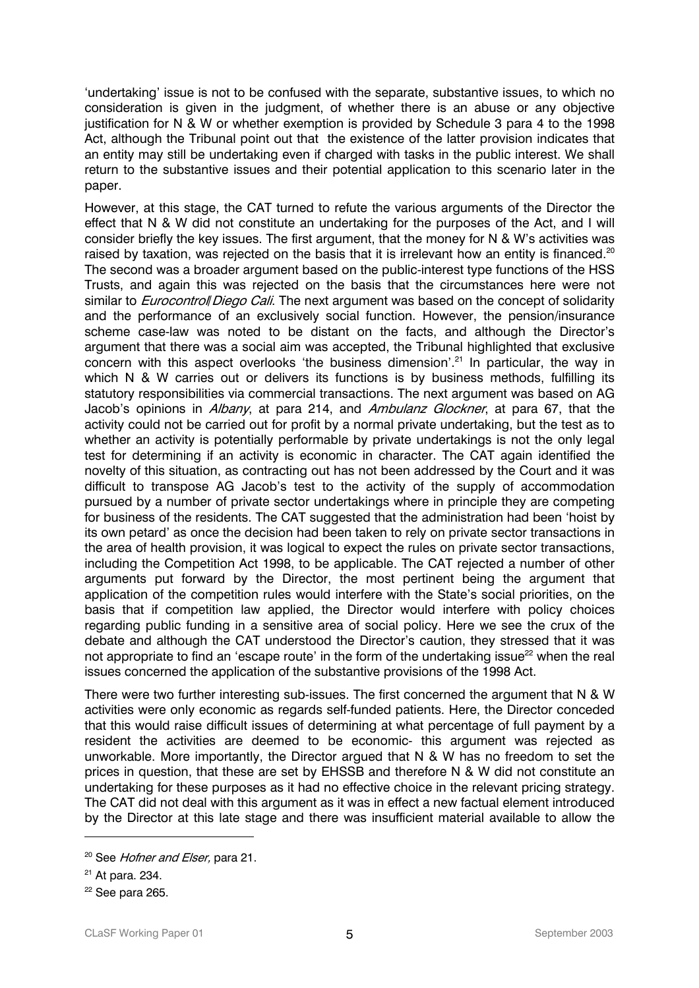'undertaking' issue is not to be confused with the separate, substantive issues, to which no consideration is given in the judgment, of whether there is an abuse or any objective justification for N & W or whether exemption is provided by Schedule 3 para 4 to the 1998 Act, although the Tribunal point out that the existence of the latter provision indicates that an entity may still be undertaking even if charged with tasks in the public interest. We shall return to the substantive issues and their potential application to this scenario later in the paper.

However, at this stage, the CAT turned to refute the various arguments of the Director the effect that N & W did not constitute an undertaking for the purposes of the Act, and I will consider briefly the key issues. The first argument, that the money for N & W's activities was raised by taxation, was rejected on the basis that it is irrelevant how an entity is financed.<sup>20</sup> The second was a broader argument based on the public-interest type functions of the HSS Trusts, and again this was rejected on the basis that the circumstances here were not similar to *Eurocontroll Diego Cali*. The next argument was based on the concept of solidarity and the performance of an exclusively social function. However, the pension/insurance scheme case-law was noted to be distant on the facts, and although the Director's argument that there was a social aim was accepted, the Tribunal highlighted that exclusive concern with this aspect overlooks 'the business dimension'.<sup>21</sup> In particular, the way in which N & W carries out or delivers its functions is by business methods, fulfilling its statutory responsibilities via commercial transactions. The next argument was based on AG Jacob's opinions in *Albany*, at para 214, and *Ambulanz Glockner*, at para 67, that the activity could not be carried out for profit by a normal private undertaking, but the test as to whether an activity is potentially performable by private undertakings is not the only legal test for determining if an activity is economic in character. The CAT again identified the novelty of this situation, as contracting out has not been addressed by the Court and it was difficult to transpose AG Jacob's test to the activity of the supply of accommodation pursued by a number of private sector undertakings where in principle they are competing for business of the residents. The CAT suggested that the administration had been 'hoist by its own petard' as once the decision had been taken to rely on private sector transactions in the area of health provision, it was logical to expect the rules on private sector transactions, including the Competition Act 1998, to be applicable. The CAT rejected a number of other arguments put forward by the Director, the most pertinent being the argument that application of the competition rules would interfere with the State's social priorities, on the basis that if competition law applied, the Director would interfere with policy choices regarding public funding in a sensitive area of social policy. Here we see the crux of the debate and although the CAT understood the Director's caution, they stressed that it was not appropriate to find an 'escape route' in the form of the undertaking issue<sup>22</sup> when the real issues concerned the application of the substantive provisions of the 1998 Act.

There were two further interesting sub-issues. The first concerned the argument that N & W activities were only economic as regards self-funded patients. Here, the Director conceded that this would raise difficult issues of determining at what percentage of full payment by a resident the activities are deemed to be economic- this argument was rejected as unworkable. More importantly, the Director argued that N & W has no freedom to set the prices in question, that these are set by EHSSB and therefore N & W did not constitute an undertaking for these purposes as it had no effective choice in the relevant pricing strategy. The CAT did not deal with this argument as it was in effect a new factual element introduced by the Director at this late stage and there was insufficient material available to allow the

<sup>&</sup>lt;sup>20</sup> See Hofner and Elser, para 21.

<sup>21</sup> At para. 234.

 $22$  See para 265.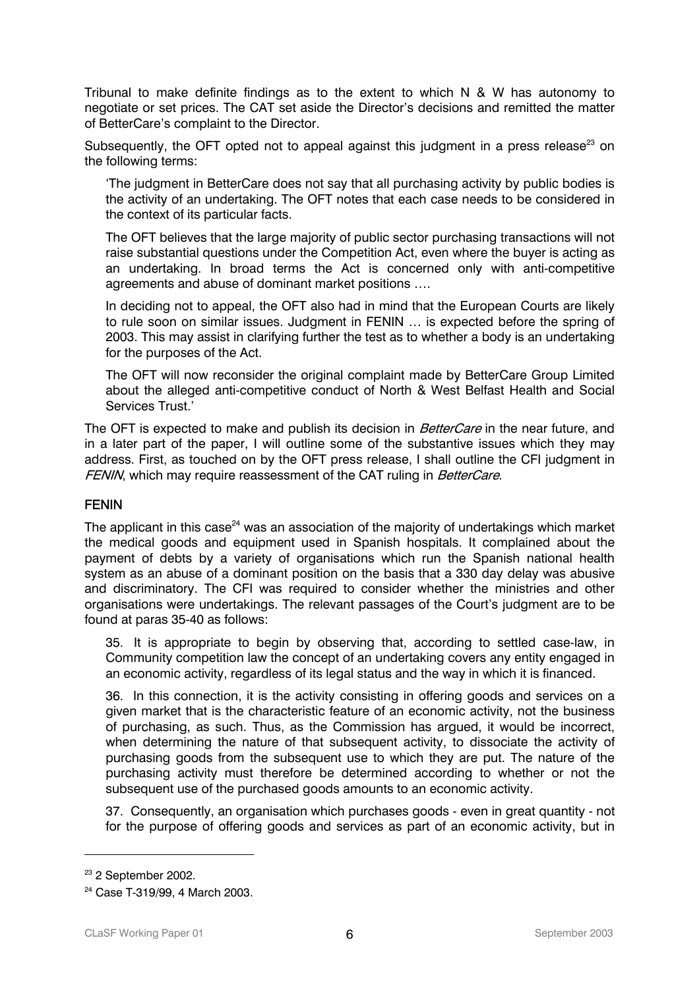Tribunal to make definite findings as to the extent to which N & W has autonomy to negotiate or set prices. The CAT set aside the Director's decisions and remitted the matter of BetterCare's complaint to the Director.

Subsequently, the OFT opted not to appeal against this judgment in a press release<sup>23</sup> on the following terms:

'The judgment in BetterCare does not say that all purchasing activity by public bodies is the activity of an undertaking. The OFT notes that each case needs to be considered in the context of its particular facts.

The OFT believes that the large majority of public sector purchasing transactions will not raise substantial questions under the Competition Act, even where the buyer is acting as an undertaking. In broad terms the Act is concerned only with anti-competitive agreements and abuse of dominant market positions ….

In deciding not to appeal, the OFT also had in mind that the European Courts are likely to rule soon on similar issues. Judgment in FENIN … is expected before the spring of 2003. This may assist in clarifying further the test as to whether a body is an undertaking for the purposes of the Act.

The OFT will now reconsider the original complaint made by BetterCare Group Limited about the alleged anti-competitive conduct of North & West Belfast Health and Social Services Trust.'

The OFT is expected to make and publish its decision in *BetterCare* in the near future, and in a later part of the paper, I will outline some of the substantive issues which they may address. First, as touched on by the OFT press release, I shall outline the CFI judgment in FENIN, which may require reassessment of the CAT ruling in BetterCare.

## FENIN

The applicant in this case<sup>24</sup> was an association of the majority of undertakings which market the medical goods and equipment used in Spanish hospitals. It complained about the payment of debts by a variety of organisations which run the Spanish national health system as an abuse of a dominant position on the basis that a 330 day delay was abusive and discriminatory. The CFI was required to consider whether the ministries and other organisations were undertakings. The relevant passages of the Court's judgment are to be found at paras 35-40 as follows:

35. It is appropriate to begin by observing that, according to settled case-law, in Community competition law the concept of an undertaking covers any entity engaged in an economic activity, regardless of its legal status and the way in which it is financed.

36. In this connection, it is the activity consisting in offering goods and services on a given market that is the characteristic feature of an economic activity, not the business of purchasing, as such. Thus, as the Commission has argued, it would be incorrect, when determining the nature of that subsequent activity, to dissociate the activity of purchasing goods from the subsequent use to which they are put. The nature of the purchasing activity must therefore be determined according to whether or not the subsequent use of the purchased goods amounts to an economic activity.

37. Consequently, an organisation which purchases goods - even in great quantity - not for the purpose of offering goods and services as part of an economic activity, but in

<sup>23 2</sup> September 2002.

<sup>24</sup> Case T-319/99, 4 March 2003.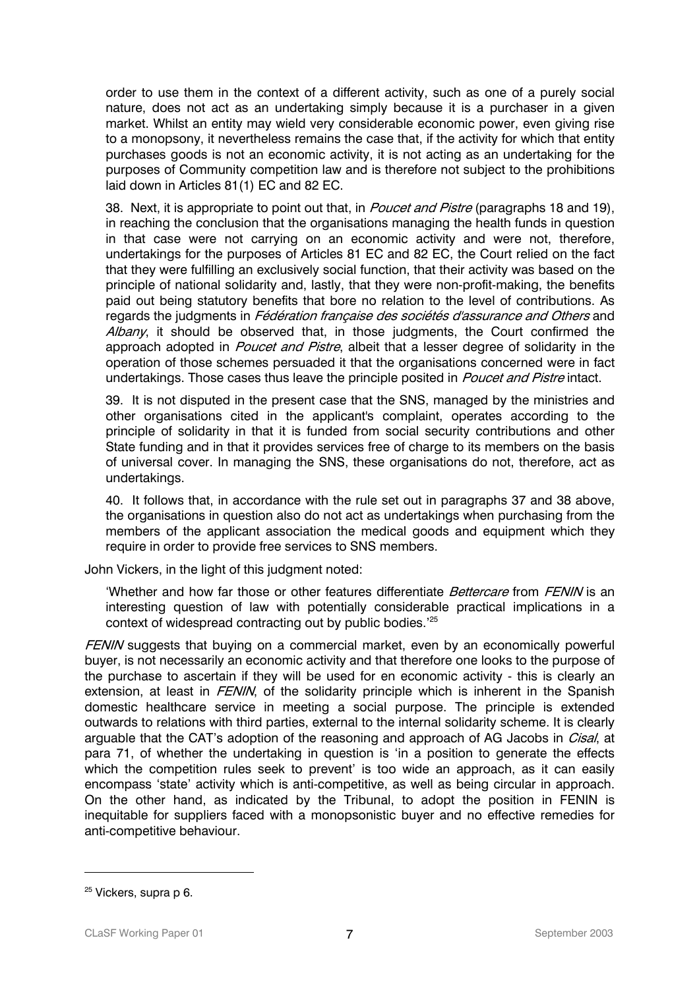order to use them in the context of a different activity, such as one of a purely social nature, does not act as an undertaking simply because it is a purchaser in a given market. Whilst an entity may wield very considerable economic power, even giving rise to a monopsony, it nevertheless remains the case that, if the activity for which that entity purchases goods is not an economic activity, it is not acting as an undertaking for the purposes of Community competition law and is therefore not subject to the prohibitions laid down in Articles 81(1) EC and 82 EC.

38. Next, it is appropriate to point out that, in *Poucet and Pistre* (paragraphs 18 and 19), in reaching the conclusion that the organisations managing the health funds in question in that case were not carrying on an economic activity and were not, therefore, undertakings for the purposes of Articles 81 EC and 82 EC, the Court relied on the fact that they were fulfilling an exclusively social function, that their activity was based on the principle of national solidarity and, lastly, that they were non-profit-making, the benefits paid out being statutory benefits that bore no relation to the level of contributions. As regards the judgments in Fédération française des sociétés d'assurance and Others and Albany, it should be observed that, in those judgments, the Court confirmed the approach adopted in *Poucet and Pistre*, albeit that a lesser degree of solidarity in the operation of those schemes persuaded it that the organisations concerned were in fact undertakings. Those cases thus leave the principle posited in Poucet and Pistre intact.

39. It is not disputed in the present case that the SNS, managed by the ministries and other organisations cited in the applicant's complaint, operates according to the principle of solidarity in that it is funded from social security contributions and other State funding and in that it provides services free of charge to its members on the basis of universal cover. In managing the SNS, these organisations do not, therefore, act as undertakings.

40. It follows that, in accordance with the rule set out in paragraphs 37 and 38 above, the organisations in question also do not act as undertakings when purchasing from the members of the applicant association the medical goods and equipment which they require in order to provide free services to SNS members.

John Vickers, in the light of this judgment noted:

'Whether and how far those or other features differentiate Bettercare from FENIN is an interesting question of law with potentially considerable practical implications in a context of widespread contracting out by public bodies.'25

FENIN suggests that buying on a commercial market, even by an economically powerful buyer, is not necessarily an economic activity and that therefore one looks to the purpose of the purchase to ascertain if they will be used for en economic activity - this is clearly an extension, at least in *FENIN*, of the solidarity principle which is inherent in the Spanish domestic healthcare service in meeting a social purpose. The principle is extended outwards to relations with third parties, external to the internal solidarity scheme. It is clearly arguable that the CAT's adoption of the reasoning and approach of AG Jacobs in *Cisal*, at para 71, of whether the undertaking in question is 'in a position to generate the effects which the competition rules seek to prevent' is too wide an approach, as it can easily encompass 'state' activity which is anti-competitive, as well as being circular in approach. On the other hand, as indicated by the Tribunal, to adopt the position in FENIN is inequitable for suppliers faced with a monopsonistic buyer and no effective remedies for anti-competitive behaviour.

<sup>&</sup>lt;sup>25</sup> Vickers, supra p 6.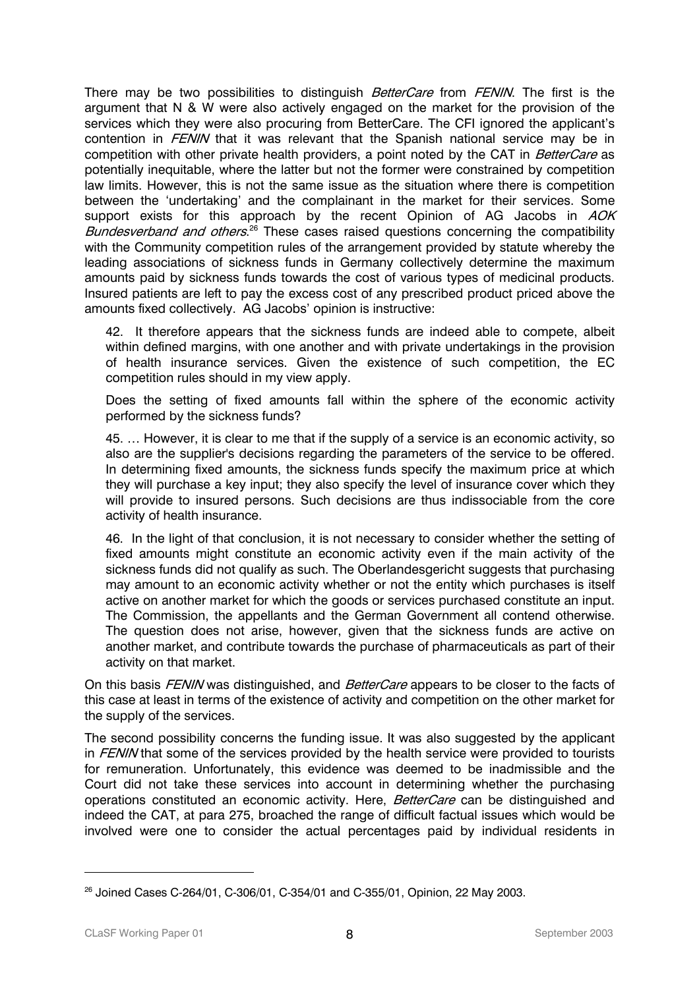There may be two possibilities to distinguish *BetterCare* from *FENIN*. The first is the argument that N & W were also actively engaged on the market for the provision of the services which they were also procuring from BetterCare. The CFI ignored the applicant's contention in FENIN that it was relevant that the Spanish national service may be in competition with other private health providers, a point noted by the CAT in *BetterCare* as potentially inequitable, where the latter but not the former were constrained by competition law limits. However, this is not the same issue as the situation where there is competition between the 'undertaking' and the complainant in the market for their services. Some support exists for this approach by the recent Opinion of AG Jacobs in AOK Bundesverband and others.<sup>26</sup> These cases raised questions concerning the compatibility with the Community competition rules of the arrangement provided by statute whereby the leading associations of sickness funds in Germany collectively determine the maximum amounts paid by sickness funds towards the cost of various types of medicinal products. Insured patients are left to pay the excess cost of any prescribed product priced above the amounts fixed collectively. AG Jacobs' opinion is instructive:

42. It therefore appears that the sickness funds are indeed able to compete, albeit within defined margins, with one another and with private undertakings in the provision of health insurance services. Given the existence of such competition, the EC competition rules should in my view apply.

Does the setting of fixed amounts fall within the sphere of the economic activity performed by the sickness funds?

45. … However, it is clear to me that if the supply of a service is an economic activity, so also are the supplier's decisions regarding the parameters of the service to be offered. In determining fixed amounts, the sickness funds specify the maximum price at which they will purchase a key input; they also specify the level of insurance cover which they will provide to insured persons. Such decisions are thus indissociable from the core activity of health insurance.

46. In the light of that conclusion, it is not necessary to consider whether the setting of fixed amounts might constitute an economic activity even if the main activity of the sickness funds did not qualify as such. The Oberlandesgericht suggests that purchasing may amount to an economic activity whether or not the entity which purchases is itself active on another market for which the goods or services purchased constitute an input. The Commission, the appellants and the German Government all contend otherwise. The question does not arise, however, given that the sickness funds are active on another market, and contribute towards the purchase of pharmaceuticals as part of their activity on that market.

On this basis FENIN was distinguished, and BetterCare appears to be closer to the facts of this case at least in terms of the existence of activity and competition on the other market for the supply of the services.

The second possibility concerns the funding issue. It was also suggested by the applicant in FENIN that some of the services provided by the health service were provided to tourists for remuneration. Unfortunately, this evidence was deemed to be inadmissible and the Court did not take these services into account in determining whether the purchasing operations constituted an economic activity. Here, BetterCare can be distinguished and indeed the CAT, at para 275, broached the range of difficult factual issues which would be involved were one to consider the actual percentages paid by individual residents in

<sup>&</sup>lt;sup>26</sup> Joined Cases C-264/01, C-306/01, C-354/01 and C-355/01, Opinion, 22 May 2003.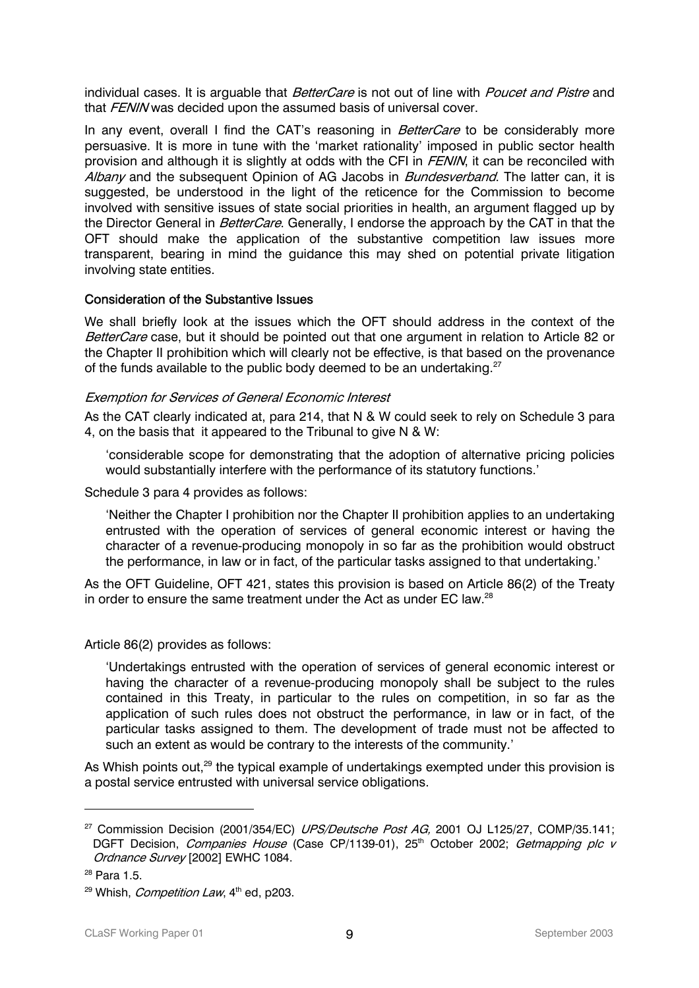individual cases. It is arguable that *BetterCare* is not out of line with *Poucet and Pistre* and that FENIN was decided upon the assumed basis of universal cover.

In any event, overall I find the CAT's reasoning in BetterCare to be considerably more persuasive. It is more in tune with the 'market rationality' imposed in public sector health provision and although it is slightly at odds with the CFI in FENIN, it can be reconciled with Albany and the subsequent Opinion of AG Jacobs in *Bundesverband*. The latter can, it is suggested, be understood in the light of the reticence for the Commission to become involved with sensitive issues of state social priorities in health, an argument flagged up by the Director General in *BetterCare*. Generally, I endorse the approach by the CAT in that the OFT should make the application of the substantive competition law issues more transparent, bearing in mind the guidance this may shed on potential private litigation involving state entities.

#### Consideration of the Substantive Issues

We shall briefly look at the issues which the OFT should address in the context of the BetterCare case, but it should be pointed out that one argument in relation to Article 82 or the Chapter II prohibition which will clearly not be effective, is that based on the provenance of the funds available to the public body deemed to be an undertaking.<sup>27</sup>

#### Exemption for Services of General Economic Interest

As the CAT clearly indicated at, para 214, that N & W could seek to rely on Schedule 3 para 4, on the basis that it appeared to the Tribunal to give N & W:

'considerable scope for demonstrating that the adoption of alternative pricing policies would substantially interfere with the performance of its statutory functions.'

Schedule 3 para 4 provides as follows:

'Neither the Chapter I prohibition nor the Chapter II prohibition applies to an undertaking entrusted with the operation of services of general economic interest or having the character of a revenue-producing monopoly in so far as the prohibition would obstruct the performance, in law or in fact, of the particular tasks assigned to that undertaking.'

As the OFT Guideline, OFT 421, states this provision is based on Article 86(2) of the Treaty in order to ensure the same treatment under the Act as under EC law. $^\mathrm{28}$ 

## Article 86(2) provides as follows:

'Undertakings entrusted with the operation of services of general economic interest or having the character of a revenue-producing monopoly shall be subject to the rules contained in this Treaty, in particular to the rules on competition, in so far as the application of such rules does not obstruct the performance, in law or in fact, of the particular tasks assigned to them. The development of trade must not be affected to such an extent as would be contrary to the interests of the community.'

As Whish points out.<sup>29</sup> the typical example of undertakings exempted under this provision is a postal service entrusted with universal service obligations.

<sup>&</sup>lt;sup>27</sup> Commission Decision (2001/354/EC) *UPS/Deutsche Post AG*, 2001 OJ L125/27, COMP/35.141; DGFT Decision, Companies House (Case CP/1139-01), 25<sup>th</sup> October 2002; Getmapping plc v Ordnance Survey [2002] EWHC 1084.

<sup>28</sup> Para 1.5.

<sup>&</sup>lt;sup>29</sup> Whish, *Competition Law*,  $4<sup>th</sup>$  ed, p203.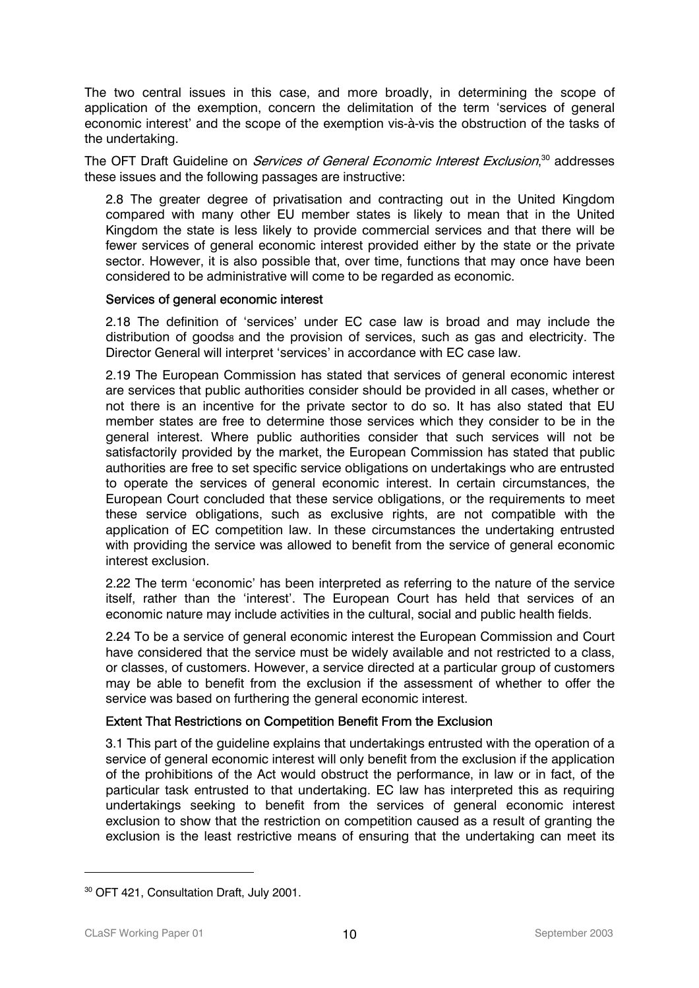The two central issues in this case, and more broadly, in determining the scope of application of the exemption, concern the delimitation of the term 'services of general economic interest' and the scope of the exemption vis-à-vis the obstruction of the tasks of the undertaking.

The OFT Draft Guideline on *Services of General Economic Interest Exclusion*,<sup>30</sup> addresses these issues and the following passages are instructive:

2.8 The greater degree of privatisation and contracting out in the United Kingdom compared with many other EU member states is likely to mean that in the United Kingdom the state is less likely to provide commercial services and that there will be fewer services of general economic interest provided either by the state or the private sector. However, it is also possible that, over time, functions that may once have been considered to be administrative will come to be regarded as economic.

## Services of general economic interest

2.18 The definition of 'services' under EC case law is broad and may include the distribution of goods<sub>8</sub> and the provision of services, such as gas and electricity. The Director General will interpret 'services' in accordance with EC case law.

2.19 The European Commission has stated that services of general economic interest are services that public authorities consider should be provided in all cases, whether or not there is an incentive for the private sector to do so. It has also stated that EU member states are free to determine those services which they consider to be in the general interest. Where public authorities consider that such services will not be satisfactorily provided by the market, the European Commission has stated that public authorities are free to set specific service obligations on undertakings who are entrusted to operate the services of general economic interest. In certain circumstances, the European Court concluded that these service obligations, or the requirements to meet these service obligations, such as exclusive rights, are not compatible with the application of EC competition law. In these circumstances the undertaking entrusted with providing the service was allowed to benefit from the service of general economic interest exclusion.

2.22 The term 'economic' has been interpreted as referring to the nature of the service itself, rather than the 'interest'. The European Court has held that services of an economic nature may include activities in the cultural, social and public health fields.

2.24 To be a service of general economic interest the European Commission and Court have considered that the service must be widely available and not restricted to a class, or classes, of customers. However, a service directed at a particular group of customers may be able to benefit from the exclusion if the assessment of whether to offer the service was based on furthering the general economic interest.

## Extent That Restrictions on Competition Benefit From the Exclusion

3.1 This part of the guideline explains that undertakings entrusted with the operation of a service of general economic interest will only benefit from the exclusion if the application of the prohibitions of the Act would obstruct the performance, in law or in fact, of the particular task entrusted to that undertaking. EC law has interpreted this as requiring undertakings seeking to benefit from the services of general economic interest exclusion to show that the restriction on competition caused as a result of granting the exclusion is the least restrictive means of ensuring that the undertaking can meet its

<sup>&</sup>lt;sup>30</sup> OFT 421, Consultation Draft, July 2001.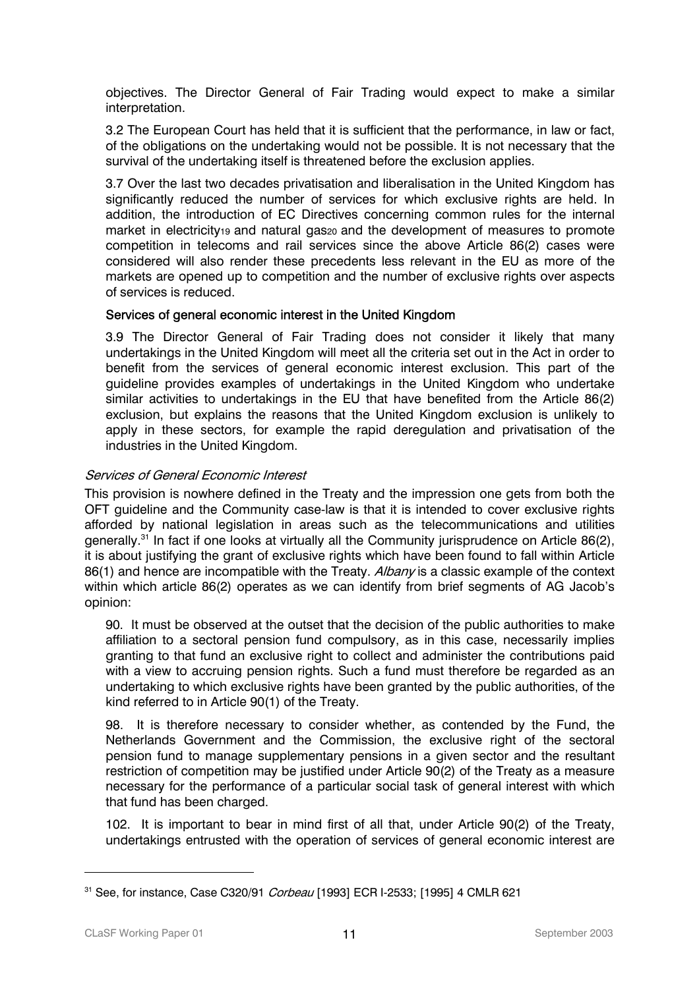objectives. The Director General of Fair Trading would expect to make a similar interpretation.

3.2 The European Court has held that it is sufficient that the performance, in law or fact, of the obligations on the undertaking would not be possible. It is not necessary that the survival of the undertaking itself is threatened before the exclusion applies.

3.7 Over the last two decades privatisation and liberalisation in the United Kingdom has significantly reduced the number of services for which exclusive rights are held. In addition, the introduction of EC Directives concerning common rules for the internal market in electricity19 and natural gas20 and the development of measures to promote competition in telecoms and rail services since the above Article 86(2) cases were considered will also render these precedents less relevant in the EU as more of the markets are opened up to competition and the number of exclusive rights over aspects of services is reduced.

## Services of general economic interest in the United Kingdom

3.9 The Director General of Fair Trading does not consider it likely that many undertakings in the United Kingdom will meet all the criteria set out in the Act in order to benefit from the services of general economic interest exclusion. This part of the guideline provides examples of undertakings in the United Kingdom who undertake similar activities to undertakings in the EU that have benefited from the Article 86(2) exclusion, but explains the reasons that the United Kingdom exclusion is unlikely to apply in these sectors, for example the rapid deregulation and privatisation of the industries in the United Kingdom.

# Services of General Economic Interest

This provision is nowhere defined in the Treaty and the impression one gets from both the OFT guideline and the Community case-law is that it is intended to cover exclusive rights afforded by national legislation in areas such as the telecommunications and utilities generally.<sup>31</sup> In fact if one looks at virtually all the Community jurisprudence on Article 86(2), it is about justifying the grant of exclusive rights which have been found to fall within Article 86(1) and hence are incompatible with the Treaty. Albany is a classic example of the context within which article 86(2) operates as we can identify from brief segments of AG Jacob's opinion:

90. It must be observed at the outset that the decision of the public authorities to make affiliation to a sectoral pension fund compulsory, as in this case, necessarily implies granting to that fund an exclusive right to collect and administer the contributions paid with a view to accruing pension rights. Such a fund must therefore be regarded as an undertaking to which exclusive rights have been granted by the public authorities, of the kind referred to in Article 90(1) of the Treaty.

98. It is therefore necessary to consider whether, as contended by the Fund, the Netherlands Government and the Commission, the exclusive right of the sectoral pension fund to manage supplementary pensions in a given sector and the resultant restriction of competition may be justified under Article 90(2) of the Treaty as a measure necessary for the performance of a particular social task of general interest with which that fund has been charged.

102. It is important to bear in mind first of all that, under Article 90(2) of the Treaty, undertakings entrusted with the operation of services of general economic interest are

<sup>31</sup> See, for instance, Case C320/91 Corbeau [1993] ECR I-2533; [1995] 4 CMLR 621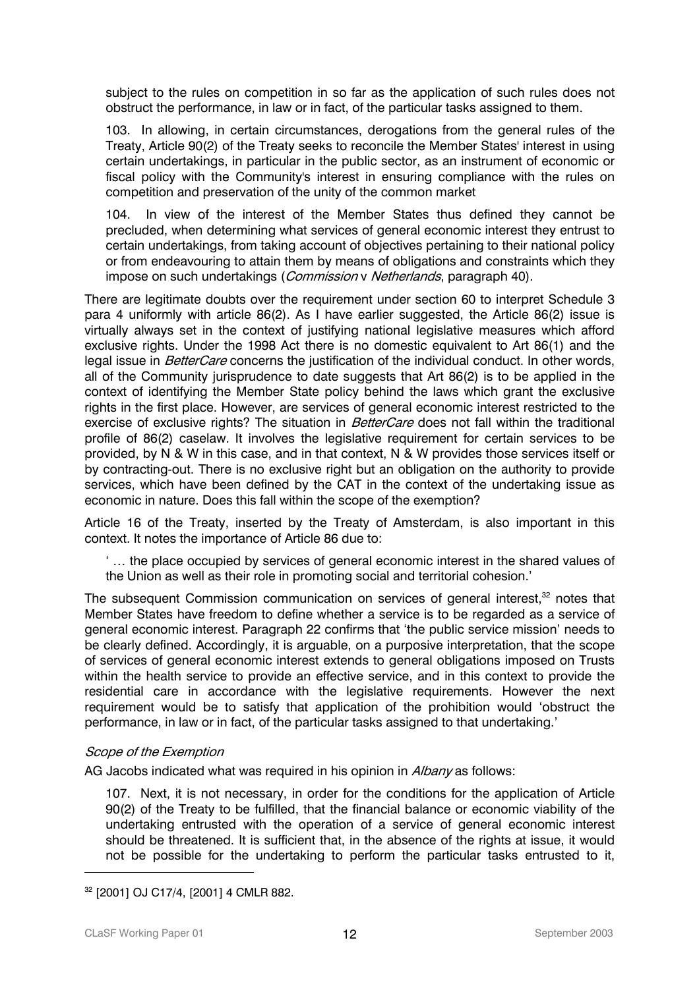subject to the rules on competition in so far as the application of such rules does not obstruct the performance, in law or in fact, of the particular tasks assigned to them.

103. In allowing, in certain circumstances, derogations from the general rules of the Treaty, Article 90(2) of the Treaty seeks to reconcile the Member States' interest in using certain undertakings, in particular in the public sector, as an instrument of economic or fiscal policy with the Community's interest in ensuring compliance with the rules on competition and preservation of the unity of the common market

104. In view of the interest of the Member States thus defined they cannot be precluded, when determining what services of general economic interest they entrust to certain undertakings, from taking account of objectives pertaining to their national policy or from endeavouring to attain them by means of obligations and constraints which they impose on such undertakings (*Commission v Netherlands*, paragraph 40).

There are legitimate doubts over the requirement under section 60 to interpret Schedule 3 para 4 uniformly with article 86(2). As I have earlier suggested, the Article 86(2) issue is virtually always set in the context of justifying national legislative measures which afford exclusive rights. Under the 1998 Act there is no domestic equivalent to Art 86(1) and the legal issue in *BetterCare* concerns the justification of the individual conduct. In other words, all of the Community jurisprudence to date suggests that Art 86(2) is to be applied in the context of identifying the Member State policy behind the laws which grant the exclusive rights in the first place. However, are services of general economic interest restricted to the exercise of exclusive rights? The situation in *BetterCare* does not fall within the traditional profile of 86(2) caselaw. It involves the legislative requirement for certain services to be provided, by N & W in this case, and in that context, N & W provides those services itself or by contracting-out. There is no exclusive right but an obligation on the authority to provide services, which have been defined by the CAT in the context of the undertaking issue as economic in nature. Does this fall within the scope of the exemption?

Article 16 of the Treaty, inserted by the Treaty of Amsterdam, is also important in this context. It notes the importance of Article 86 due to:

' … the place occupied by services of general economic interest in the shared values of the Union as well as their role in promoting social and territorial cohesion.'

The subsequent Commission communication on services of general interest. $32$  notes that Member States have freedom to define whether a service is to be regarded as a service of general economic interest. Paragraph 22 confirms that 'the public service mission' needs to be clearly defined. Accordingly, it is arguable, on a purposive interpretation, that the scope of services of general economic interest extends to general obligations imposed on Trusts within the health service to provide an effective service, and in this context to provide the residential care in accordance with the legislative requirements. However the next requirement would be to satisfy that application of the prohibition would 'obstruct the performance, in law or in fact, of the particular tasks assigned to that undertaking.'

## Scope of the Exemption

AG Jacobs indicated what was required in his opinion in Albany as follows:

107. Next, it is not necessary, in order for the conditions for the application of Article 90(2) of the Treaty to be fulfilled, that the financial balance or economic viability of the undertaking entrusted with the operation of a service of general economic interest should be threatened. It is sufficient that, in the absence of the rights at issue, it would not be possible for the undertaking to perform the particular tasks entrusted to it,

<sup>32 [2001]</sup> OJ C17/4, [2001] 4 CMLR 882.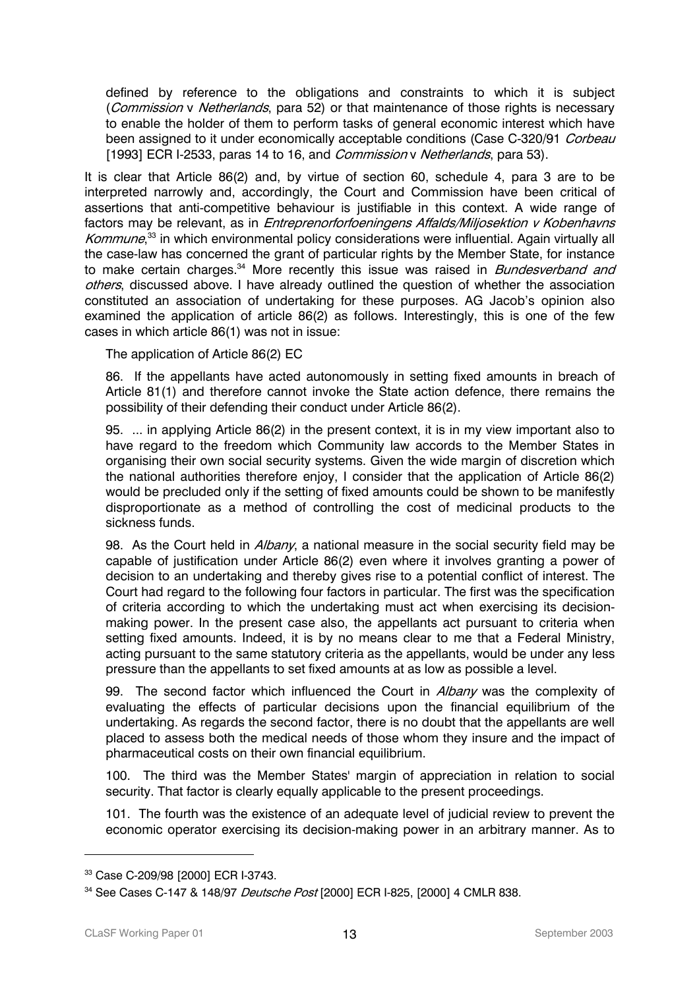defined by reference to the obligations and constraints to which it is subject (Commission v Netherlands, para 52) or that maintenance of those rights is necessary to enable the holder of them to perform tasks of general economic interest which have been assigned to it under economically acceptable conditions (Case C-320/91 Corbeau [1993] ECR I-2533, paras 14 to 16, and *Commission v Netherlands*, para 53).

It is clear that Article 86(2) and, by virtue of section 60, schedule 4, para 3 are to be interpreted narrowly and, accordingly, the Court and Commission have been critical of assertions that anti-competitive behaviour is justifiable in this context. A wide range of factors may be relevant, as in *Entreprenorforfoeningens Affalds/Miljosektion v Kobenhavns* Kommune,<sup>33</sup> in which environmental policy considerations were influential. Again virtually all the case-law has concerned the grant of particular rights by the Member State, for instance to make certain charges.<sup>34</sup> More recently this issue was raised in *Bundesverband and* others, discussed above. I have already outlined the question of whether the association constituted an association of undertaking for these purposes. AG Jacob's opinion also examined the application of article 86(2) as follows. Interestingly, this is one of the few cases in which article 86(1) was not in issue:

The application of Article 86(2) EC

86. If the appellants have acted autonomously in setting fixed amounts in breach of Article 81(1) and therefore cannot invoke the State action defence, there remains the possibility of their defending their conduct under Article 86(2).

95. ... in applying Article 86(2) in the present context, it is in my view important also to have regard to the freedom which Community law accords to the Member States in organising their own social security systems. Given the wide margin of discretion which the national authorities therefore enjoy, I consider that the application of Article 86(2) would be precluded only if the setting of fixed amounts could be shown to be manifestly disproportionate as a method of controlling the cost of medicinal products to the sickness funds.

98. As the Court held in Albany, a national measure in the social security field may be capable of justification under Article 86(2) even where it involves granting a power of decision to an undertaking and thereby gives rise to a potential conflict of interest. The Court had regard to the following four factors in particular. The first was the specification of criteria according to which the undertaking must act when exercising its decisionmaking power. In the present case also, the appellants act pursuant to criteria when setting fixed amounts. Indeed, it is by no means clear to me that a Federal Ministry, acting pursuant to the same statutory criteria as the appellants, would be under any less pressure than the appellants to set fixed amounts at as low as possible a level.

99. The second factor which influenced the Court in *Albany* was the complexity of evaluating the effects of particular decisions upon the financial equilibrium of the undertaking. As regards the second factor, there is no doubt that the appellants are well placed to assess both the medical needs of those whom they insure and the impact of pharmaceutical costs on their own financial equilibrium.

100. The third was the Member States' margin of appreciation in relation to social security. That factor is clearly equally applicable to the present proceedings.

101. The fourth was the existence of an adequate level of judicial review to prevent the economic operator exercising its decision-making power in an arbitrary manner. As to

<sup>33</sup> Case C-209/98 [2000] ECR I-3743.

<sup>34</sup> See Cases C-147 & 148/97 Deutsche Post [2000] ECR I-825, [2000] 4 CMLR 838.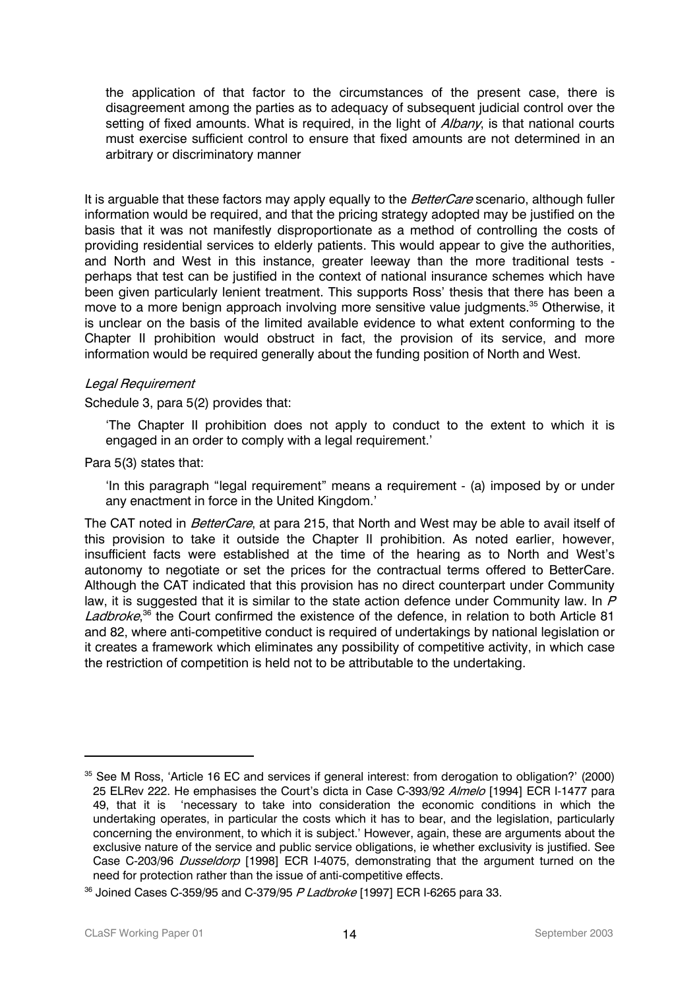the application of that factor to the circumstances of the present case, there is disagreement among the parties as to adequacy of subsequent judicial control over the setting of fixed amounts. What is required, in the light of *Albany*, is that national courts must exercise sufficient control to ensure that fixed amounts are not determined in an arbitrary or discriminatory manner

It is arguable that these factors may apply equally to the BetterCare scenario, although fuller information would be required, and that the pricing strategy adopted may be justified on the basis that it was not manifestly disproportionate as a method of controlling the costs of providing residential services to elderly patients. This would appear to give the authorities, and North and West in this instance, greater leeway than the more traditional tests perhaps that test can be justified in the context of national insurance schemes which have been given particularly lenient treatment. This supports Ross' thesis that there has been a move to a more benign approach involving more sensitive value judgments.<sup>35</sup> Otherwise, it is unclear on the basis of the limited available evidence to what extent conforming to the Chapter II prohibition would obstruct in fact, the provision of its service, and more information would be required generally about the funding position of North and West.

#### Legal Requirement

Schedule 3, para 5(2) provides that:

'The Chapter II prohibition does not apply to conduct to the extent to which it is engaged in an order to comply with a legal requirement.'

#### Para 5(3) states that:

'In this paragraph "legal requirement" means a requirement - (a) imposed by or under any enactment in force in the United Kingdom.'

The CAT noted in *BetterCare*, at para 215, that North and West may be able to avail itself of this provision to take it outside the Chapter II prohibition. As noted earlier, however, insufficient facts were established at the time of the hearing as to North and West's autonomy to negotiate or set the prices for the contractual terms offered to BetterCare. Although the CAT indicated that this provision has no direct counterpart under Community law, it is suggested that it is similar to the state action defence under Community law. In  $P$ Ladbroke,<sup>36</sup> the Court confirmed the existence of the defence, in relation to both Article 81 and 82, where anti-competitive conduct is required of undertakings by national legislation or it creates a framework which eliminates any possibility of competitive activity, in which case the restriction of competition is held not to be attributable to the undertaking.

<sup>&</sup>lt;sup>35</sup> See M Ross, 'Article 16 EC and services if general interest: from derogation to obligation?' (2000) 25 ELRev 222. He emphasises the Court's dicta in Case C-393/92 Almelo [1994] ECR I-1477 para 49, that it is 'necessary to take into consideration the economic conditions in which the undertaking operates, in particular the costs which it has to bear, and the legislation, particularly concerning the environment, to which it is subject.' However, again, these are arguments about the exclusive nature of the service and public service obligations, ie whether exclusivity is justified. See Case C-203/96 Dusseldorp [1998] ECR I-4075, demonstrating that the argument turned on the need for protection rather than the issue of anti-competitive effects.

<sup>&</sup>lt;sup>36</sup> Joined Cases C-359/95 and C-379/95 P Ladbroke [1997] ECR I-6265 para 33.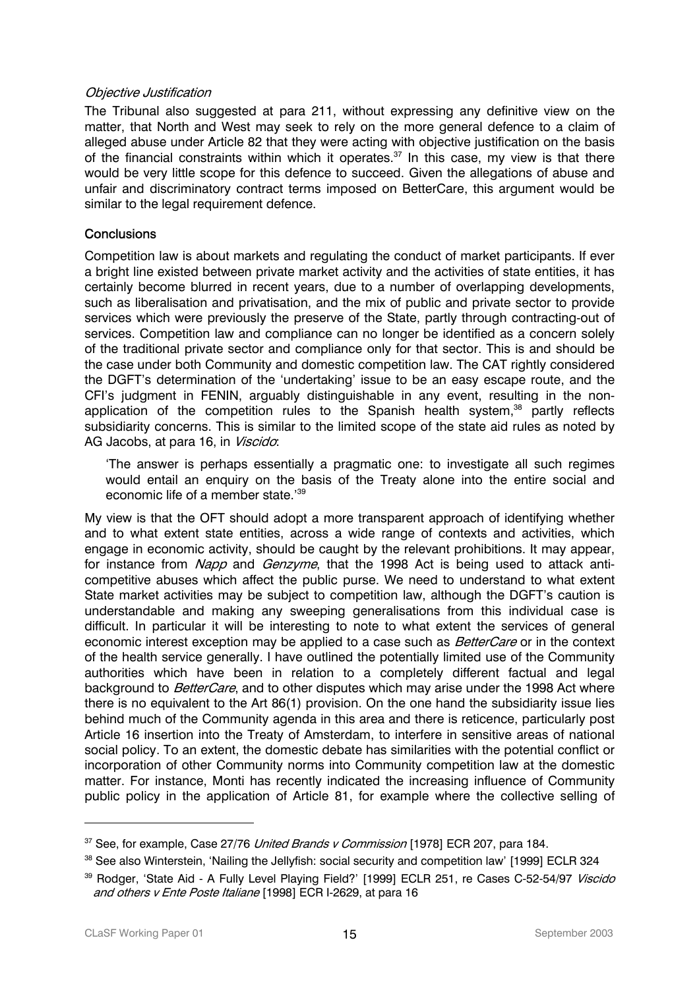#### Objective Justification

The Tribunal also suggested at para 211, without expressing any definitive view on the matter, that North and West may seek to rely on the more general defence to a claim of alleged abuse under Article 82 that they were acting with objective justification on the basis of the financial constraints within which it operates.<sup>37</sup> In this case, my view is that there would be very little scope for this defence to succeed. Given the allegations of abuse and unfair and discriminatory contract terms imposed on BetterCare, this argument would be similar to the legal requirement defence.

## **Conclusions**

Competition law is about markets and regulating the conduct of market participants. If ever a bright line existed between private market activity and the activities of state entities, it has certainly become blurred in recent years, due to a number of overlapping developments, such as liberalisation and privatisation, and the mix of public and private sector to provide services which were previously the preserve of the State, partly through contracting-out of services. Competition law and compliance can no longer be identified as a concern solely of the traditional private sector and compliance only for that sector. This is and should be the case under both Community and domestic competition law. The CAT rightly considered the DGFT's determination of the 'undertaking' issue to be an easy escape route, and the CFI's judgment in FENIN, arguably distinguishable in any event, resulting in the nonapplication of the competition rules to the Spanish health system.<sup>38</sup> partly reflects subsidiarity concerns. This is similar to the limited scope of the state aid rules as noted by AG Jacobs, at para 16, in Viscido:

'The answer is perhaps essentially a pragmatic one: to investigate all such regimes would entail an enquiry on the basis of the Treaty alone into the entire social and economic life of a member state.'39

My view is that the OFT should adopt a more transparent approach of identifying whether and to what extent state entities, across a wide range of contexts and activities, which engage in economic activity, should be caught by the relevant prohibitions. It may appear, for instance from Napp and Genzyme, that the 1998 Act is being used to attack anticompetitive abuses which affect the public purse. We need to understand to what extent State market activities may be subject to competition law, although the DGFT's caution is understandable and making any sweeping generalisations from this individual case is difficult. In particular it will be interesting to note to what extent the services of general economic interest exception may be applied to a case such as *BetterCare* or in the context of the health service generally. I have outlined the potentially limited use of the Community authorities which have been in relation to a completely different factual and legal background to BetterCare, and to other disputes which may arise under the 1998 Act where there is no equivalent to the Art 86(1) provision. On the one hand the subsidiarity issue lies behind much of the Community agenda in this area and there is reticence, particularly post Article 16 insertion into the Treaty of Amsterdam, to interfere in sensitive areas of national social policy. To an extent, the domestic debate has similarities with the potential conflict or incorporation of other Community norms into Community competition law at the domestic matter. For instance, Monti has recently indicated the increasing influence of Community public policy in the application of Article 81, for example where the collective selling of

<sup>&</sup>lt;sup>37</sup> See, for example, Case 27/76 United Brands v Commission [1978] ECR 207, para 184.

<sup>38</sup> See also Winterstein, 'Nailing the Jellyfish: social security and competition law' [1999] ECLR 324

<sup>&</sup>lt;sup>39</sup> Rodger, 'State Aid - A Fully Level Playing Field?' [1999] ECLR 251, re Cases C-52-54/97 Viscido and others v Ente Poste Italiane [1998] ECR I-2629, at para 16